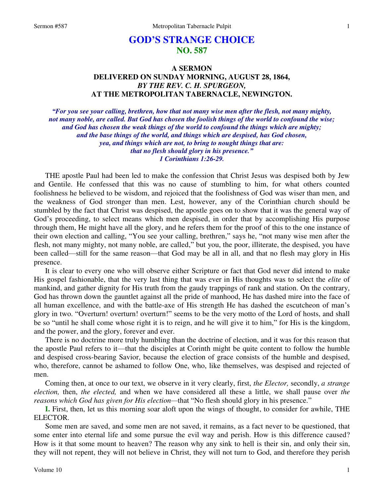## **GOD'S STRANGE CHOICE NO. 587**

## **A SERMON DELIVERED ON SUNDAY MORNING, AUGUST 28, 1864,**  *BY THE REV. C. H. SPURGEON,*  **AT THE METROPOLITAN TABERNACLE, NEWINGTON.**

*"For you see your calling, brethren, how that not many wise men after the flesh, not many mighty, not many noble, are called. But God has chosen the foolish things of the world to confound the wise; and God has chosen the weak things of the world to confound the things which are mighty; and the base things of the world, and things which are despised, has God chosen, yea, and things which are not, to bring to nought things that are: that no flesh should glory in his presence." 1 Corinthians 1:26-29.* 

THE apostle Paul had been led to make the confession that Christ Jesus was despised both by Jew and Gentile. He confessed that this was no cause of stumbling to him, for what others counted foolishness he believed to be wisdom, and rejoiced that the foolishness of God was wiser than men, and the weakness of God stronger than men. Lest, however, any of the Corinthian church should be stumbled by the fact that Christ was despised, the apostle goes on to show that it was the general way of God's proceeding, to select means which men despised, in order that by accomplishing His purpose through them, He might have all the glory, and he refers them for the proof of this to the one instance of their own election and calling, "You see your calling, brethren," says he, "not many wise men after the flesh, not many mighty, not many noble, are called," but you, the poor, illiterate, the despised, you have been called—still for the same reason—that God may be all in all, and that no flesh may glory in His presence.

It is clear to every one who will observe either Scripture or fact that God never did intend to make His gospel fashionable, that the very last thing that was ever in His thoughts was to select the *elite* of mankind, and gather dignity for His truth from the gaudy trappings of rank and station. On the contrary, God has thrown down the gauntlet against all the pride of manhood, He has dashed mire into the face of all human excellence, and with the battle-axe of His strength He has dashed the escutcheon of man's glory in two. "Overturn! overturn! overturn!" seems to be the very motto of the Lord of hosts, and shall be so "until he shall come whose right it is to reign, and he will give it to him," for His is the kingdom, and the power, and the glory, forever and ever.

There is no doctrine more truly humbling than the doctrine of election, and it was for this reason that the apostle Paul refers to it—that the disciples at Corinth might be quite content to follow the humble and despised cross-bearing Savior, because the election of grace consists of the humble and despised, who, therefore, cannot be ashamed to follow One, who, like themselves, was despised and rejected of men.

Coming then, at once to our text, we observe in it very clearly, first, *the Elector,* secondly, *a strange election,* then, *the elected,* and when we have considered all these a little, we shall pause over *the reasons which God has given for His election—*that "No flesh should glory in his presence."

**I.** First, then, let us this morning soar aloft upon the wings of thought, to consider for awhile, THE ELECTOR.

Some men are saved, and some men are not saved, it remains, as a fact never to be questioned, that some enter into eternal life and some pursue the evil way and perish. How is this difference caused? How is it that some mount to heaven? The reason why any sink to hell is their sin, and only their sin, they will not repent, they will not believe in Christ, they will not turn to God, and therefore they perish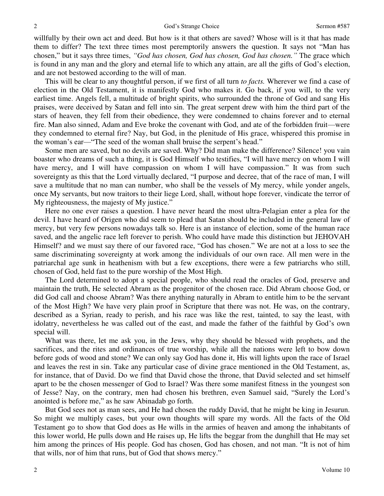willfully by their own act and deed. But how is it that others are saved? Whose will is it that has made them to differ? The text three times most peremptorily answers the question. It says not "Man has chosen," but it says three times, *"God has chosen, God has chosen, God has chosen."* The grace which is found in any man and the glory and eternal life to which any attain, are all the gifts of God's election, and are not bestowed according to the will of man.

This will be clear to any thoughtful person, if we first of all turn *to facts.* Wherever we find a case of election in the Old Testament, it is manifestly God who makes it. Go back, if you will, to the very earliest time. Angels fell, a multitude of bright spirits, who surrounded the throne of God and sang His praises, were deceived by Satan and fell into sin. The great serpent drew with him the third part of the stars of heaven, they fell from their obedience, they were condemned to chains forever and to eternal fire. Man also sinned, Adam and Eve broke the covenant with God, and ate of the forbidden fruit—were they condemned to eternal fire? Nay, but God, in the plenitude of His grace, whispered this promise in the woman's ear—"The seed of the woman shall bruise the serpent's head."

Some men are saved, but no devils are saved. Why? Did man make the difference? Silence! you vain boaster who dreams of such a thing, it is God Himself who testifies, "I will have mercy on whom I will have mercy, and I will have compassion on whom I will have compassion." It was from such sovereignty as this that the Lord virtually declared, "I purpose and decree, that of the race of man, I will save a multitude that no man can number, who shall be the vessels of My mercy, while yonder angels, once My servants, but now traitors to their liege Lord, shall, without hope forever, vindicate the terror of My righteousness, the majesty of My justice."

Here no one ever raises a question. I have never heard the most ultra-Pelagian enter a plea for the devil. I have heard of Origen who did seem to plead that Satan should be included in the general law of mercy, but very few persons nowadays talk so. Here is an instance of election, some of the human race saved, and the angelic race left forever to perish. Who could have made this distinction but JEHOVAH Himself? and we must say there of our favored race, "God has chosen." We are not at a loss to see the same discriminating sovereignty at work among the individuals of our own race. All men were in the patriarchal age sunk in heathenism with but a few exceptions, there were a few patriarchs who still, chosen of God, held fast to the pure worship of the Most High.

The Lord determined to adopt a special people, who should read the oracles of God, preserve and maintain the truth, He selected Abram as the progenitor of the chosen race. Did Abram choose God, or did God call and choose Abram? Was there anything naturally in Abram to entitle him to be the servant of the Most High? We have very plain proof in Scripture that there was not. He was, on the contrary, described as a Syrian, ready to perish, and his race was like the rest, tainted, to say the least, with idolatry, nevertheless he was called out of the east, and made the father of the faithful by God's own special will.

What was there, let me ask you, in the Jews, why they should be blessed with prophets, and the sacrifices, and the rites and ordinances of true worship, while all the nations were left to bow down before gods of wood and stone? We can only say God has done it, His will lights upon the race of Israel and leaves the rest in sin. Take any particular case of divine grace mentioned in the Old Testament, as, for instance, that of David. Do we find that David chose the throne, that David selected and set himself apart to be the chosen messenger of God to Israel? Was there some manifest fitness in the youngest son of Jesse? Nay, on the contrary, men had chosen his brethren, even Samuel said, "Surely the Lord's anointed is before me," as he saw Abinadab go forth.

But God sees not as man sees, and He had chosen the ruddy David, that he might be king in Jesurun. So might we multiply cases, but your own thoughts will spare my words. All the facts of the Old Testament go to show that God does as He wills in the armies of heaven and among the inhabitants of this lower world, He pulls down and He raises up, He lifts the beggar from the dunghill that He may set him among the princes of His people. God has chosen, God has chosen, and not man. "It is not of him that wills, nor of him that runs, but of God that shows mercy."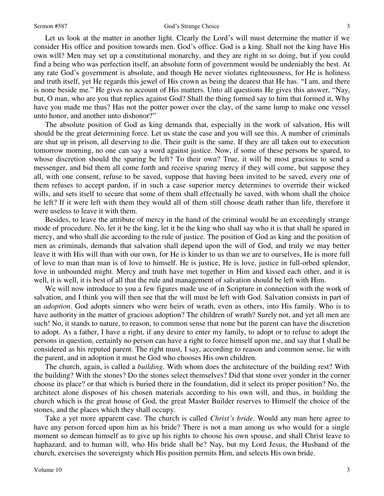## Sermon #587 God's Strange Choice

Let us look at the matter in another light. Clearly the Lord's will must determine the matter if we consider His office and position towards men. God's office. God is a king. Shall not the king have His own will? Men may set up a constitutional monarchy, and they are right in so doing, but if you could find a being who was perfection itself, an absolute form of government would be undeniably the best. At any rate God's government is absolute, and though He never violates righteousness, for He is holiness and truth itself, yet He regards this jewel of His crown as being the dearest that He has. "I am, and there is none beside me." He gives no account of His matters. Unto all questions He gives this answer, "Nay, but, O man, who are you that replies against God? Shall the thing formed say to him that formed it, Why have you made me thus? Has not the potter power over the clay, of the same lump to make one vessel unto honor, and another unto dishonor?"

The absolute position of God as king demands that, especially in the work of salvation, His will should be the great determining force. Let us state the case and you will see this. A number of criminals are shut up in prison, all deserving to die. Their guilt is the same. If they are all taken out to execution tomorrow morning, no one can say a word against justice. Now, if some of these persons be spared, to whose discretion should the sparing be left? To their own? True, it will be most gracious to send a messenger, and bid them all come forth and receive sparing mercy if they will come, but suppose they all, with one consent, refuse to be saved, suppose that having been invited to be saved, every one of them refuses to accept pardon, if in such a case superior mercy determines to override their wicked wills, and sets itself to secure that some of them shall effectually be saved, with whom shall the choice be left? If it were left with them they would all of them still choose death rather than life, therefore it were useless to leave it with them.

Besides, to leave the attribute of mercy in the hand of the criminal would be an exceedingly strange mode of procedure. No, let it be the king, let it be the king who shall say who it is that shall be spared in mercy, and who shall die according to the rule of justice. The position of God as king and the position of men as criminals, demands that salvation shall depend upon the will of God, and truly we may better leave it with His will than with our own, for He is kinder to us than we are to ourselves, He is more full of love to man than man is of love to himself. He is justice, He is love, justice in full-orbed splendor, love in unbounded might. Mercy and truth have met together in Him and kissed each other, and it is well, it is well, it is best of all that the rule and management of salvation should be left with Him.

We will now introduce to you a few figures made use of in Scripture in connection with the work of salvation, and I think you will then see that the will must be left with God. Salvation consists in part of an *adoption*. God adopts sinners who were heirs of wrath, even as others, into His family. Who is to have authority in the matter of gracious adoption? The children of wrath? Surely not, and yet all men are such! No, it stands to nature, to reason, to common sense that none but the parent can have the discretion to adopt. As a father, I have a right, if any desire to enter my family, to adopt or to refuse to adopt the persons in question, certainly no person can have a right to force himself upon me, and say that I shall be considered as his reputed parent. The right must, I say, according to reason and common sense, lie with the parent, and in adoption it must be God who chooses His own children.

The church, again, is called a *building*. With whom does the architecture of the building rest? With the building? With the stones? Do the stones select themselves? Did that stone over yonder in the corner choose its place? or that which is buried there in the foundation, did it select its proper position? No, the architect alone disposes of his chosen materials according to his own will, and thus, in building the church which is the great house of God, the great Master Builder reserves to Himself the choice of the stones, and the places which they shall occupy.

Take a yet more apparent case. The church is called *Christ's bride*. Would any man here agree to have any person forced upon him as his bride? There is not a man among us who would for a single moment so demean himself as to give up his rights to choose his own spouse, and shall Christ leave to haphazard, and to human will, who His bride shall be? Nay, but my Lord Jesus, the Husband of the church, exercises the sovereignty which His position permits Him, and selects His own bride.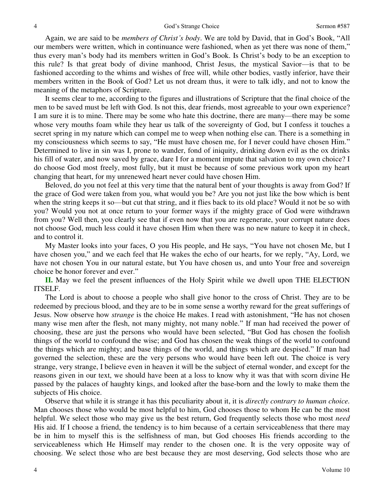Again, we are said to be *members of Christ's body*. We are told by David, that in God's Book, "All our members were written, which in continuance were fashioned, when as yet there was none of them," thus every man's body had its members written in God's Book. Is Christ's body to be an exception to this rule? Is that great body of divine manhood, Christ Jesus, the mystical Savior—is that to be fashioned according to the whims and wishes of free will, while other bodies, vastly inferior, have their members written in the Book of God? Let us not dream thus, it were to talk idly, and not to know the meaning of the metaphors of Scripture.

It seems clear to me, according to the figures and illustrations of Scripture that the final choice of the men to be saved must be left with God. Is not this, dear friends, most agreeable to your own experience? I am sure it is to mine. There may be some who hate this doctrine, there are many—there may be some whose very mouths foam while they hear us talk of the sovereignty of God, but I confess it touches a secret spring in my nature which can compel me to weep when nothing else can. There is a something in my consciousness which seems to say, "He must have chosen me, for I never could have chosen Him." Determined to live in sin was I, prone to wander, fond of iniquity, drinking down evil as the ox drinks his fill of water, and now saved by grace, dare I for a moment impute that salvation to my own choice? I do choose God most freely, most fully, but it must be because of some previous work upon my heart changing that heart, for my unrenewed heart never could have chosen Him.

Beloved, do you not feel at this very time that the natural bent of your thoughts is away from God? If the grace of God were taken from you, what would you be? Are you not just like the bow which is bent when the string keeps it so—but cut that string, and it flies back to its old place? Would it not be so with you? Would you not at once return to your former ways if the mighty grace of God were withdrawn from you? Well then, you clearly see that if even now that you are regenerate, your corrupt nature does not choose God, much less could it have chosen Him when there was no new nature to keep it in check, and to control it.

My Master looks into your faces, O you His people, and He says, "You have not chosen Me, but I have chosen you," and we each feel that He wakes the echo of our hearts, for we reply, "Ay, Lord, we have not chosen You in our natural estate, but You have chosen us, and unto Your free and sovereign choice be honor forever and ever."

**II.** May we feel the present influences of the Holy Spirit while we dwell upon THE ELECTION ITSELF.

The Lord is about to choose a people who shall give honor to the cross of Christ. They are to be redeemed by precious blood, and they are to be in some sense a worthy reward for the great sufferings of Jesus. Now observe how *strange* is the choice He makes. I read with astonishment, "He has not chosen many wise men after the flesh, not many mighty, not many noble." If man had received the power of choosing, these are just the persons who would have been selected, "But God has chosen the foolish things of the world to confound the wise; and God has chosen the weak things of the world to confound the things which are mighty; and base things of the world, and things which are despised." If man had governed the selection, these are the very persons who would have been left out. The choice is very strange, very strange, I believe even in heaven it will be the subject of eternal wonder, and except for the reasons given in our text, we should have been at a loss to know why it was that with scorn divine He passed by the palaces of haughty kings, and looked after the base-born and the lowly to make them the subjects of His choice.

Observe that while it is strange it has this peculiarity about it, it is *directly contrary to human choice.* Man chooses those who would be most helpful to him, God chooses those to whom He can be the most helpful. We select those who may give us the best return, God frequently selects those who most *need* His aid. If I choose a friend, the tendency is to him because of a certain serviceableness that there may be in him to myself this is the selfishness of man, but God chooses His friends according to the serviceableness which He Himself may render to the chosen one. It is the very opposite way of choosing. We select those who are best because they are most deserving, God selects those who are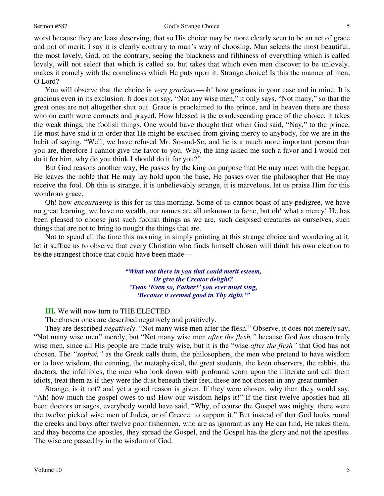worst because they are least deserving, that so His choice may be more clearly seen to be an act of grace and not of merit. I say it is clearly contrary to man's way of choosing. Man selects the most beautiful, the most lovely, God, on the contrary, seeing the blackness and filthiness of everything which is called lovely, will not select that which is called so, but takes that which even men discover to be unlovely, makes it comely with the comeliness which He puts upon it. Strange choice! Is this the manner of men, O Lord?

You will observe that the choice is *very gracious*—oh! how gracious in your case and in mine. It is gracious even in its exclusion. It does not say, "Not any wise men," it only says, "Not many," so that the great ones are not altogether shut out. Grace is proclaimed to the prince, and in heaven there are those who on earth wore coronets and prayed. How blessed is the condescending grace of the choice, it takes the weak things, the foolish things. One would have thought that when God said, "Nay," to the prince, He must have said it in order that He might be excused from giving mercy to anybody, for we are in the habit of saying, "Well, we have refused Mr. So-and-So, and he is a much more important person than you are, therefore I cannot give the favor to you. Why, the king asked me such a favor and I would not do it for him, why do you think I should do it for you?"

But God reasons another way, He passes by the king on purpose that He may meet with the beggar, He leaves the noble that He may lay hold upon the base, He passes over the philosopher that He may receive the fool. Oh this is strange, it is unbelievably strange, it is marvelous, let us praise Him for this wondrous grace.

Oh! how *encouraging* is this for us this morning. Some of us cannot boast of any pedigree, we have no great learning, we have no wealth, our names are all unknown to fame, but oh! what a mercy! He has been pleased to choose just such foolish things as we are, such despised creatures as ourselves, such things that are not to bring to nought the things that are.

Not to spend all the time this morning in simply pointing at this strange choice and wondering at it, let it suffice us to observe that every Christian who finds himself chosen will think his own election to be the strangest choice that could have been made*—*

> *"What was there in you that could merit esteem, Or give the Creator delight? 'Twas 'Even so, Father!' you ever must sing, 'Because it seemed good in Thy sight.'"*

**III.** We will now turn to THE ELECTED.

The chosen ones are described negatively and positively.

They are described *negatively*. "Not many wise men after the flesh." Observe, it does not merely say, "Not many wise men" merely, but "Not many wise men *after the flesh,"* because God *has* chosen truly wise men, since all His people are made truly wise, but it is the "wise *after the flesh"* that God has not chosen. The *"sophoi,"* as the Greek calls them, the philosophers, the men who pretend to have wisdom or to love wisdom, the cunning, the metaphysical, the great students, the keen observers, the rabbis, the doctors, the infallibles, the men who look down with profound scorn upon the illiterate and call them idiots, treat them as if they were the dust beneath their feet, these are not chosen in any great number.

Strange, is it not? and yet a good reason is given. If they were chosen, why then they would say, "Ah! how much the gospel owes to us! How our wisdom helps it!" If the first twelve apostles had all been doctors or sages, everybody would have said, "Why, of course the Gospel was mighty, there were the twelve picked wise men of Judea, or of Greece, to support it." But instead of that God looks round the creeks and bays after twelve poor fishermen, who are as ignorant as any He can find, He takes them, and they become the apostles, they spread the Gospel, and the Gospel has the glory and not the apostles. The wise are passed by in the wisdom of God.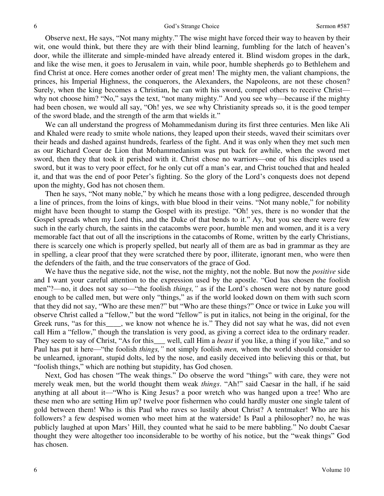Observe next, He says, "Not many mighty." The wise might have forced their way to heaven by their wit, one would think, but there they are with their blind learning, fumbling for the latch of heaven's door, while the illiterate and simple-minded have already entered it. Blind wisdom gropes in the dark, and like the wise men, it goes to Jerusalem in vain, while poor, humble shepherds go to Bethlehem and find Christ at once. Here comes another order of great men! The mighty men, the valiant champions, the princes, his Imperial Highness, the conquerors, the Alexanders, the Napoleons, are not these chosen? Surely, when the king becomes a Christian, he can with his sword, compel others to receive Christ why not choose him? "No," says the text, "not many mighty." And you see why—because if the mighty had been chosen, we would all say, "Oh! yes, we see why Christianity spreads so, it is the good temper of the sword blade, and the strength of the arm that wields it."

We can all understand the progress of Mohammedanism during its first three centuries. Men like Ali and Khaled were ready to smite whole nations, they leaped upon their steeds, waved their scimitars over their heads and dashed against hundreds, fearless of the fight. And it was only when they met such men as our Richard Coeur de Lion that Mohammedanism was put back for awhile, when the sword met sword, then they that took it perished with it. Christ chose no warriors—one of his disciples used a sword, but it was to very poor effect, for he only cut off a man's ear, and Christ touched that and healed it, and that was the end of poor Peter's fighting. So the glory of the Lord's conquests does not depend upon the mighty, God has not chosen them.

Then he says, "Not many noble," by which he means those with a long pedigree, descended through a line of princes, from the loins of kings, with blue blood in their veins. "Not many noble," for nobility might have been thought to stamp the Gospel with its prestige. "Oh! yes, there is no wonder that the Gospel spreads when my Lord this, and the Duke of that bends to it." Ay, but you see there were few such in the early church, the saints in the catacombs were poor, humble men and women, and it is a very memorable fact that out of all the inscriptions in the catacombs of Rome, written by the early Christians, there is scarcely one which is properly spelled, but nearly all of them are as bad in grammar as they are in spelling, a clear proof that they were scratched there by poor, illiterate, ignorant men, who were then the defenders of the faith, and the true conservators of the grace of God.

We have thus the negative side, not the wise, not the mighty, not the noble. But now the *positive* side and I want your careful attention to the expression used by the apostle. "God has chosen the foolish men"?—no, it does not say so—"the foolish *things,"* as if the Lord's chosen were not by nature good enough to be called men, but were only "things," as if the world looked down on them with such scorn that they did not say, "Who are these men?" but "Who are these things?" Once or twice in Luke you will observe Christ called a "fellow," but the word "fellow" is put in italics, not being in the original, for the Greek runs, "as for this\_\_\_\_, we know not whence he is." They did not say what he was, did not even call Him a "fellow," though the translation is very good, as giving a correct idea to the ordinary reader. They seem to say of Christ, "As for this\_\_\_ well, call Him a *beast* if you like, a thing if you like," and so Paul has put it here—"the foolish *things,"* not simply foolish *men,* whom the world should consider to be unlearned, ignorant, stupid dolts, led by the nose, and easily deceived into believing this or that, but "foolish things," which are nothing but stupidity, has God chosen.

Next, God has chosen "The weak things." Do observe the word "things" with care, they were not merely weak men, but the world thought them weak *things*. "Ah!" said Caesar in the hall, if he said anything at all about it—"Who is King Jesus? a poor wretch who was hanged upon a tree! Who are these men who are setting Him up? twelve poor fishermen who could hardly muster one single talent of gold between them! Who is this Paul who raves so lustily about Christ? A tentmaker! Who are his followers? a few despised women who meet him at the waterside! Is Paul a philosopher? no, he was publicly laughed at upon Mars' Hill, they counted what he said to be mere babbling." No doubt Caesar thought they were altogether too inconsiderable to be worthy of his notice, but the "weak things" God has chosen.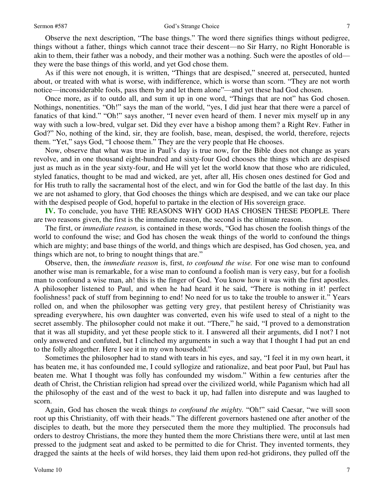Observe the next description, "The base things." The word there signifies things without pedigree, things without a father, things which cannot trace their descent—no Sir Harry, no Right Honorable is akin to them, their father was a nobody, and their mother was a nothing. Such were the apostles of old they were the base things of this world, and yet God chose them.

As if this were not enough, it is written, "Things that are despised," sneered at, persecuted, hunted about, or treated with what is worse, with indifference, which is worse than scorn. "They are not worth notice—inconsiderable fools, pass them by and let them alone"—and yet these had God chosen.

Once more, as if to outdo all, and sum it up in one word, "Things that are not" has God chosen. Nothings, nonentities. "Oh!" says the man of the world, "yes, I did just hear that there were a parcel of fanatics of that kind." "Oh!" says another, "I never even heard of them. I never mix myself up in any way with such a low-bred, vulgar set. Did they ever have a bishop among them? a Right Rev. Father in God?" No, nothing of the kind, sir, they are foolish, base, mean, despised, the world, therefore, rejects them. "Yet," says God, "I choose them." They are the very people that He chooses.

Now, observe that what was true in Paul's day is true now, for the Bible does not change as years revolve, and in one thousand eight-hundred and sixty-four God chooses the things which are despised just as much as in the year sixty-four, and He will yet let the world know that those who are ridiculed, styled fanatics, thought to be mad and wicked, are yet, after all, His chosen ones destined for God and for His truth to rally the sacramental host of the elect, and win for God the battle of the last day. In this we are not ashamed to glory, that God chooses the things which are despised, and we can take our place with the despised people of God, hopeful to partake in the election of His sovereign grace.

**IV.** To conclude, you have THE REASONS WHY GOD HAS CHOSEN THESE PEOPLE. There are two reasons given, the first is the immediate reason, the second is the ultimate reason.

The first, or *immediate reason,* is contained in these words, "God has chosen the foolish things of the world to confound the wise; and God has chosen the weak things of the world to confound the things which are mighty; and base things of the world, and things which are despised, has God chosen, yea, and things which are not, to bring to nought things that are."

Observe, then, the *immediate reason* is, first, *to confound the wise.* For one wise man to confound another wise man is remarkable, for a wise man to confound a foolish man is very easy, but for a foolish man to confound a wise man, ah! this is the finger of God. You know how it was with the first apostles. A philosopher listened to Paul, and when he had heard it he said, "There is nothing in it! perfect foolishness! pack of stuff from beginning to end! No need for us to take the trouble to answer it." Years rolled on, and when the philosopher was getting very grey, that pestilent heresy of Christianity was spreading everywhere, his own daughter was converted, even his wife used to steal of a night to the secret assembly. The philosopher could not make it out. "There," he said, "I proved to a demonstration that it was all stupidity, and yet these people stick to it. I answered all their arguments, did I not? I not only answered and confuted, but I clinched my arguments in such a way that I thought I had put an end to the folly altogether. Here I see it in my own household."

Sometimes the philosopher had to stand with tears in his eyes, and say, "I feel it in my own heart, it has beaten me, it has confounded me, I could syllogize and rationalize, and beat poor Paul, but Paul has beaten me. What I thought was folly has confounded my wisdom." Within a few centuries after the death of Christ, the Christian religion had spread over the civilized world, while Paganism which had all the philosophy of the east and of the west to back it up, had fallen into disrepute and was laughed to scorn.

Again, God has chosen the weak things *to confound the mighty.* "Oh!" said Caesar, "we will soon root up this Christianity, off with their heads." The different governors hastened one after another of the disciples to death, but the more they persecuted them the more they multiplied. The proconsuls had orders to destroy Christians, the more they hunted them the more Christians there were, until at last men pressed to the judgment seat and asked to be permitted to die for Christ. They invented torments, they dragged the saints at the heels of wild horses, they laid them upon red-hot gridirons, they pulled off the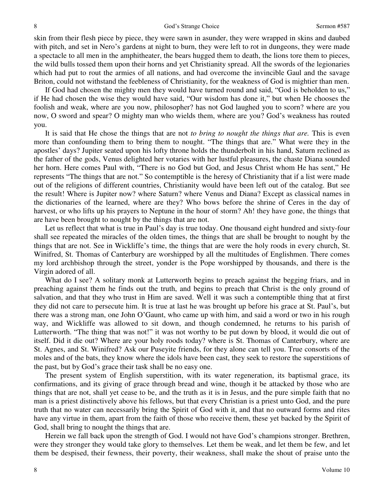skin from their flesh piece by piece, they were sawn in asunder, they were wrapped in skins and daubed with pitch, and set in Nero's gardens at night to burn, they were left to rot in dungeons, they were made a spectacle to all men in the amphitheater, the bears hugged them to death, the lions tore them to pieces, the wild bulls tossed them upon their horns and yet Christianity spread. All the swords of the legionaries which had put to rout the armies of all nations, and had overcome the invincible Gaul and the savage Briton, could not withstand the feebleness of Christianity, for the weakness of God is mightier than men.

If God had chosen the mighty men they would have turned round and said, "God is beholden to us," if He had chosen the wise they would have said, "Our wisdom has done it," but when He chooses the foolish and weak, where are you now, philosopher? has not God laughed you to scorn? where are you now, O sword and spear? O mighty man who wields them, where are you? God's weakness has routed you.

It is said that He chose the things that are not *to bring to nought the things that are.* This is even more than confounding them to bring them to nought. "The things that are." What were they in the apostles' days? Jupiter seated upon his lofty throne holds the thunderbolt in his hand, Saturn reclined as the father of the gods, Venus delighted her votaries with her lustful pleasures, the chaste Diana sounded her horn. Here comes Paul with, "There is no God but God, and Jesus Christ whom He has sent," He represents "The things that are not." So contemptible is the heresy of Christianity that if a list were made out of the religions of different countries, Christianity would have been left out of the catalog. But see the result! Where is Jupiter now? where Saturn? where Venus and Diana? Except as classical names in the dictionaries of the learned, where are they? Who bows before the shrine of Ceres in the day of harvest, or who lifts up his prayers to Neptune in the hour of storm? Ah! they have gone, the things that are have been brought to nought by the things that are not.

Let us reflect that what is true in Paul's day is true today. One thousand eight hundred and sixty-four shall see repeated the miracles of the olden times, the things that are shall be brought to nought by the things that are not. See in Wickliffe's time, the things that are were the holy roods in every church, St. Winifred, St. Thomas of Canterbury are worshipped by all the multitudes of Englishmen. There comes my lord archbishop through the street, yonder is the Pope worshipped by thousands, and there is the Virgin adored of all.

What do I see? A solitary monk at Lutterworth begins to preach against the begging friars, and in preaching against them he finds out the truth, and begins to preach that Christ is the only ground of salvation, and that they who trust in Him are saved. Well it was such a contemptible thing that at first they did not care to persecute him. It is true at last he was brought up before his grace at St. Paul's, but there was a strong man, one John O'Gaunt, who came up with him, and said a word or two in his rough way, and Wickliffe was allowed to sit down, and though condemned, he returns to his parish of Lutterworth. "The thing that was not!" it was not worthy to be put down by blood, it would die out of itself. Did it die out? Where are your holy roods today? where is St. Thomas of Canterbury, where are St. Agnes, and St. Winifred? Ask our Puseyite friends, for they alone can tell you. True consorts of the moles and of the bats, they know where the idols have been cast, they seek to restore the superstitions of the past, but by God's grace their task shall be no easy one.

The present system of English superstition, with its water regeneration, its baptismal grace, its confirmations, and its giving of grace through bread and wine, though it be attacked by those who are things that are not, shall yet cease to be, and the truth as it is in Jesus, and the pure simple faith that no man is a priest distinctively above his fellows, but that every Christian is a priest unto God, and the pure truth that no water can necessarily bring the Spirit of God with it, and that no outward forms and rites have any virtue in them, apart from the faith of those who receive them, these yet backed by the Spirit of God, shall bring to nought the things that are.

Herein we fall back upon the strength of God. I would not have God's champions stronger. Brethren, were they stronger they would take glory to themselves. Let them be weak, and let them be few, and let them be despised, their fewness, their poverty, their weakness, shall make the shout of praise unto the